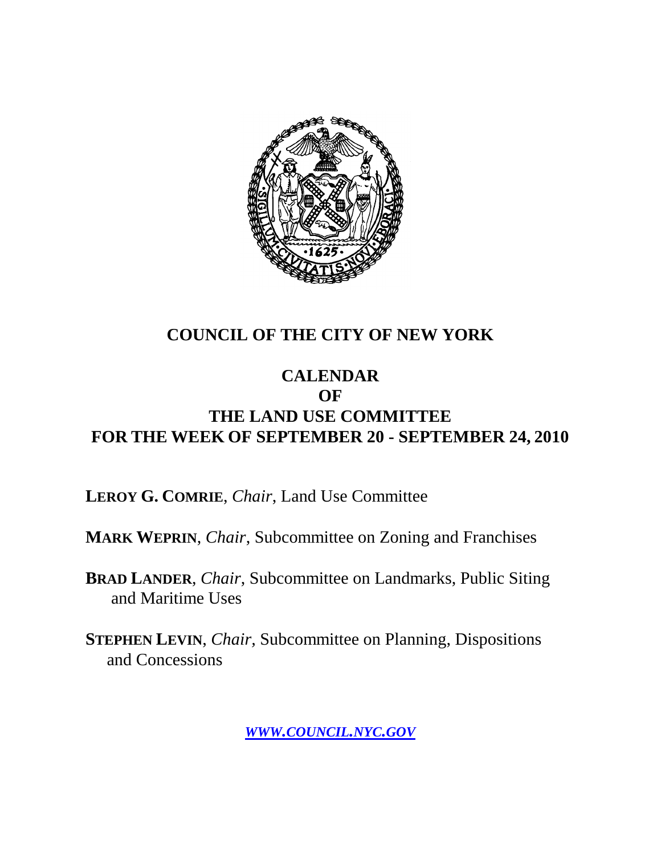

### **COUNCIL OF THE CITY OF NEW YORK**

#### **CALENDAR OF THE LAND USE COMMITTEE FOR THE WEEK OF SEPTEMBER 20 - SEPTEMBER 24, 2010**

**LEROY G. COMRIE**, *Chair*, Land Use Committee

**MARK WEPRIN**, *Chair*, Subcommittee on Zoning and Franchises

**BRAD LANDER**, *Chair*, Subcommittee on Landmarks, Public Siting and Maritime Uses

**STEPHEN LEVIN**, *Chair,* Subcommittee on Planning, Dispositions and Concessions

*WWW.COUNCIL.NYC.GOV*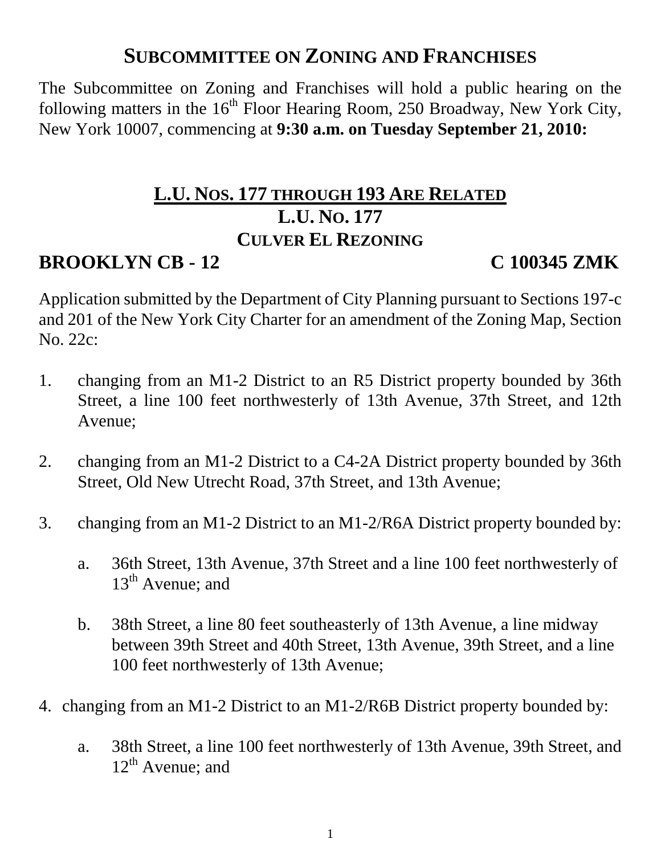# **SUBCOMMITTEE ON ZONING AND FRANCHISES**

The Subcommittee on Zoning and Franchises will hold a public hearing on the following matters in the  $16<sup>th</sup>$  Floor Hearing Room, 250 Broadway, New York City, New York 10007, commencing at **9:30 a.m. on Tuesday September 21, 2010:**

# **L.U. NOS. 177 THROUGH 193 ARE RELATED L.U. NO. 177 CULVER EL REZONING**

# **BROOKLYN CB - 12 C 100345 ZMK**

Application submitted by the Department of City Planning pursuant to Sections 197-c and 201 of the New York City Charter for an amendment of the Zoning Map, Section No. 22c:

- 1. changing from an M1-2 District to an R5 District property bounded by 36th Street, a line 100 feet northwesterly of 13th Avenue, 37th Street, and 12th Avenue;
- 2. changing from an M1-2 District to a C4-2A District property bounded by 36th Street, Old New Utrecht Road, 37th Street, and 13th Avenue;
- 3. changing from an M1-2 District to an M1-2/R6A District property bounded by:
	- a. 36th Street, 13th Avenue, 37th Street and a line 100 feet northwesterly of  $13<sup>th</sup>$  Avenue; and
	- b. 38th Street, a line 80 feet southeasterly of 13th Avenue, a line midway between 39th Street and 40th Street, 13th Avenue, 39th Street, and a line 100 feet northwesterly of 13th Avenue;
- 4. changing from an M1-2 District to an M1-2/R6B District property bounded by:
	- a. 38th Street, a line 100 feet northwesterly of 13th Avenue, 39th Street, and  $12<sup>th</sup>$  Avenue; and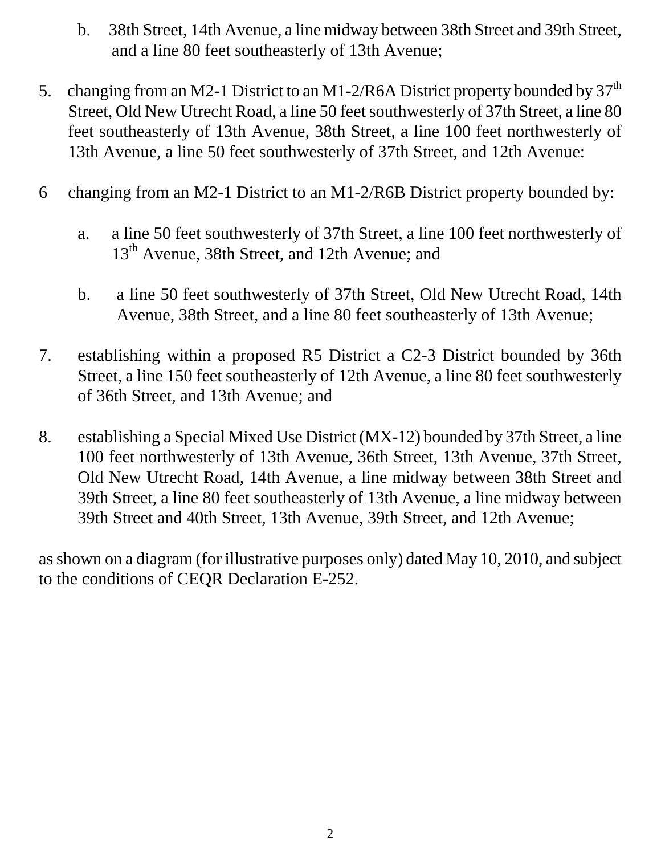- b. 38th Street, 14th Avenue, a line midway between 38th Street and 39th Street, and a line 80 feet southeasterly of 13th Avenue;
- 5. changing from an M2-1 District to an M1-2/R6A District property bounded by  $37<sup>th</sup>$ Street, Old New Utrecht Road, a line 50 feet southwesterly of 37th Street, a line 80 feet southeasterly of 13th Avenue, 38th Street, a line 100 feet northwesterly of 13th Avenue, a line 50 feet southwesterly of 37th Street, and 12th Avenue:
- 6 changing from an M2-1 District to an M1-2/R6B District property bounded by:
	- a. a line 50 feet southwesterly of 37th Street, a line 100 feet northwesterly of 13<sup>th</sup> Avenue, 38th Street, and 12th Avenue; and
	- b. a line 50 feet southwesterly of 37th Street, Old New Utrecht Road, 14th Avenue, 38th Street, and a line 80 feet southeasterly of 13th Avenue;
- 7. establishing within a proposed R5 District a C2-3 District bounded by 36th Street, a line 150 feet southeasterly of 12th Avenue, a line 80 feet southwesterly of 36th Street, and 13th Avenue; and
- 8. establishing a Special Mixed Use District (MX-12) bounded by 37th Street, a line 100 feet northwesterly of 13th Avenue, 36th Street, 13th Avenue, 37th Street, Old New Utrecht Road, 14th Avenue, a line midway between 38th Street and 39th Street, a line 80 feet southeasterly of 13th Avenue, a line midway between 39th Street and 40th Street, 13th Avenue, 39th Street, and 12th Avenue;

as shown on a diagram (for illustrative purposes only) dated May 10, 2010, and subject to the conditions of CEQR Declaration E-252.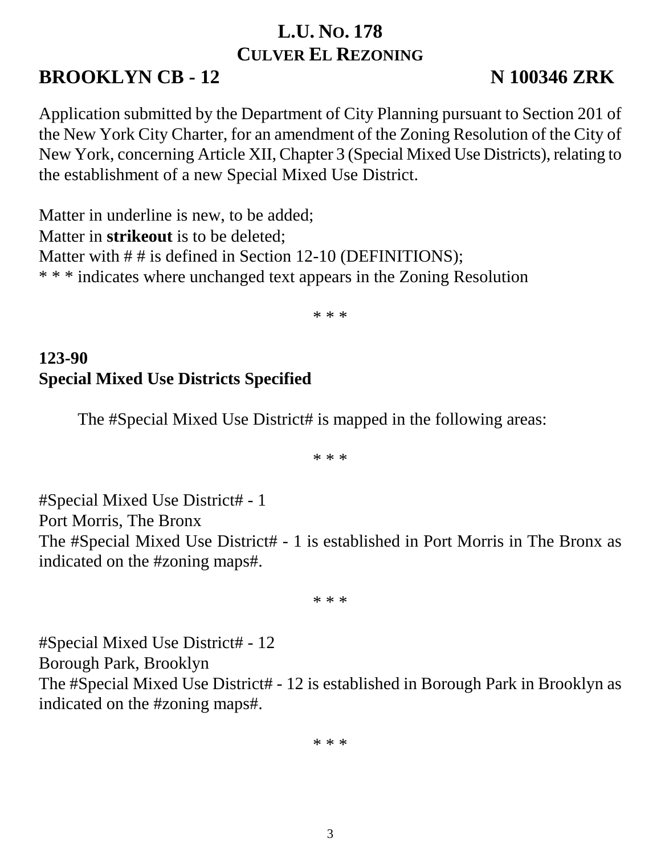# **L.U. NO. 178 CULVER EL REZONING**

# **BROOKLYN CB - 12 N 100346 ZRK**

Application submitted by the Department of City Planning pursuant to Section 201 of the New York City Charter, for an amendment of the Zoning Resolution of the City of New York, concerning Article XII, Chapter 3 (Special Mixed Use Districts), relating to the establishment of a new Special Mixed Use District.

Matter in underline is new, to be added; Matter in **strikeout** is to be deleted; Matter with ## is defined in Section 12-10 (DEFINITIONS); \* \* \* indicates where unchanged text appears in the Zoning Resolution

\* \* \*

## **123-90 Special Mixed Use Districts Specified**

The #Special Mixed Use District# is mapped in the following areas:

\* \* \*

#Special Mixed Use District# - 1 Port Morris, The Bronx The #Special Mixed Use District# - 1 is established in Port Morris in The Bronx as indicated on the #zoning maps#.

\* \* \*

#Special Mixed Use District# - 12 Borough Park, Brooklyn The #Special Mixed Use District# - 12 is established in Borough Park in Brooklyn as indicated on the #zoning maps#.

\* \* \*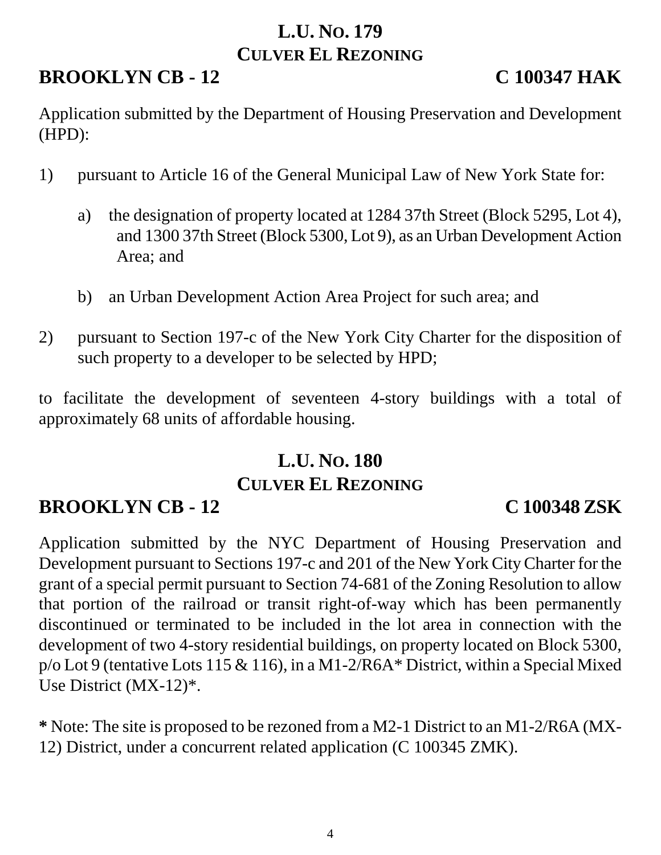### **L.U. NO. 179 CULVER EL REZONING**

# **BROOKLYN CB - 12 C 100347 HAK**

Application submitted by the Department of Housing Preservation and Development (HPD):

- 1) pursuant to Article 16 of the General Municipal Law of New York State for:
	- a) the designation of property located at 1284 37th Street (Block 5295, Lot 4), and 1300 37th Street (Block 5300, Lot 9), as an Urban Development Action Area; and
	- b) an Urban Development Action Area Project for such area; and
- 2) pursuant to Section 197-c of the New York City Charter for the disposition of such property to a developer to be selected by HPD;

to facilitate the development of seventeen 4-story buildings with a total of approximately 68 units of affordable housing.

# **L.U. NO. 180 CULVER EL REZONING**

# **BROOKLYN CB - 12 C 100348 ZSK**

Application submitted by the NYC Department of Housing Preservation and Development pursuant to Sections 197-c and 201 of the New York City Charter for the grant of a special permit pursuant to Section 74-681 of the Zoning Resolution to allow that portion of the railroad or transit right-of-way which has been permanently discontinued or terminated to be included in the lot area in connection with the development of two 4-story residential buildings, on property located on Block 5300, p/o Lot 9 (tentative Lots 115 & 116), in a M1-2/R6A\* District, within a Special Mixed Use District (MX-12)\*.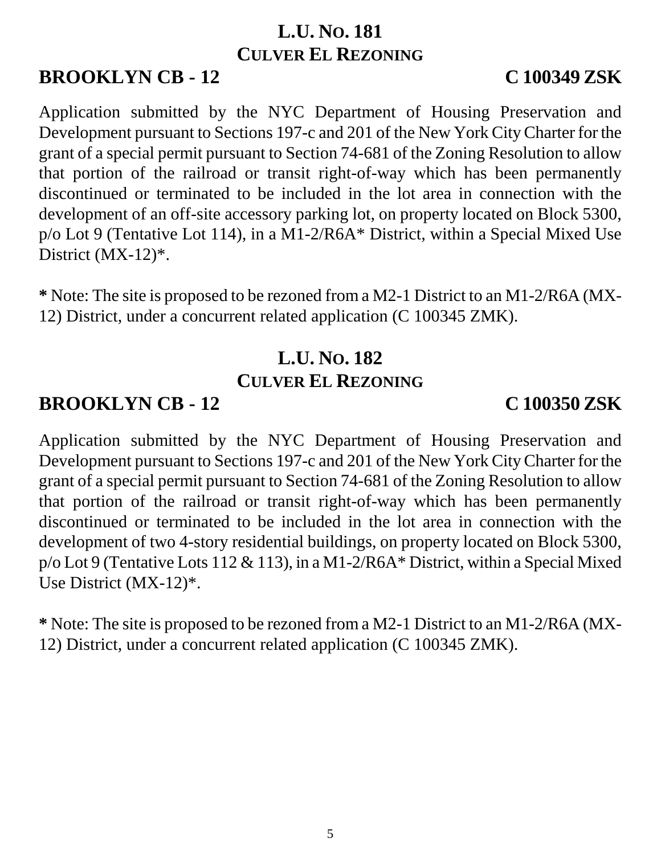### **L.U. NO. 181 CULVER EL REZONING**

# **BROOKLYN CB - 12 C 100349 ZSK**

Application submitted by the NYC Department of Housing Preservation and Development pursuant to Sections 197-c and 201 of the New York City Charter for the grant of a special permit pursuant to Section 74-681 of the Zoning Resolution to allow that portion of the railroad or transit right-of-way which has been permanently discontinued or terminated to be included in the lot area in connection with the development of an off-site accessory parking lot, on property located on Block 5300, p/o Lot 9 (Tentative Lot 114), in a M1-2/R6A\* District, within a Special Mixed Use District (MX-12)\*.

**\*** Note: The site is proposed to be rezoned from a M2-1 District to an M1-2/R6A (MX-12) District, under a concurrent related application (C 100345 ZMK).

# **L.U. NO. 182 CULVER EL REZONING**

# **BROOKLYN CB - 12 C 100350 ZSK**

Application submitted by the NYC Department of Housing Preservation and Development pursuant to Sections 197-c and 201 of the New York City Charter for the grant of a special permit pursuant to Section 74-681 of the Zoning Resolution to allow that portion of the railroad or transit right-of-way which has been permanently discontinued or terminated to be included in the lot area in connection with the development of two 4-story residential buildings, on property located on Block 5300, p/o Lot 9 (Tentative Lots 112 & 113), in a M1-2/R6A\* District, within a Special Mixed Use District (MX-12)\*.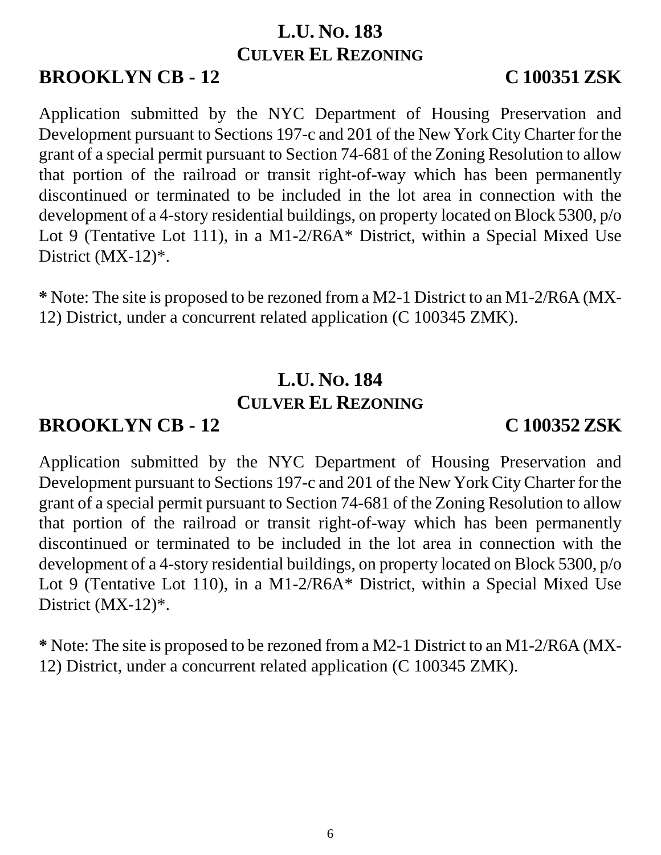### **L.U. NO. 183 CULVER EL REZONING**

# **BROOKLYN CB - 12 C 100351 ZSK**

Application submitted by the NYC Department of Housing Preservation and Development pursuant to Sections 197-c and 201 of the New York City Charter for the grant of a special permit pursuant to Section 74-681 of the Zoning Resolution to allow that portion of the railroad or transit right-of-way which has been permanently discontinued or terminated to be included in the lot area in connection with the development of a 4-story residential buildings, on property located on Block 5300, p/o Lot 9 (Tentative Lot 111), in a M1-2/R6A\* District, within a Special Mixed Use District (MX-12)\*.

**\*** Note: The site is proposed to be rezoned from a M2-1 District to an M1-2/R6A (MX-12) District, under a concurrent related application (C 100345 ZMK).

# **L.U. NO. 184 CULVER EL REZONING**

# **BROOKLYN CB - 12 C 100352 ZSK**

Application submitted by the NYC Department of Housing Preservation and Development pursuant to Sections 197-c and 201 of the New York City Charter for the grant of a special permit pursuant to Section 74-681 of the Zoning Resolution to allow that portion of the railroad or transit right-of-way which has been permanently discontinued or terminated to be included in the lot area in connection with the development of a 4-story residential buildings, on property located on Block 5300, p/o Lot 9 (Tentative Lot 110), in a M1-2/R6A\* District, within a Special Mixed Use District (MX-12)<sup>\*</sup>.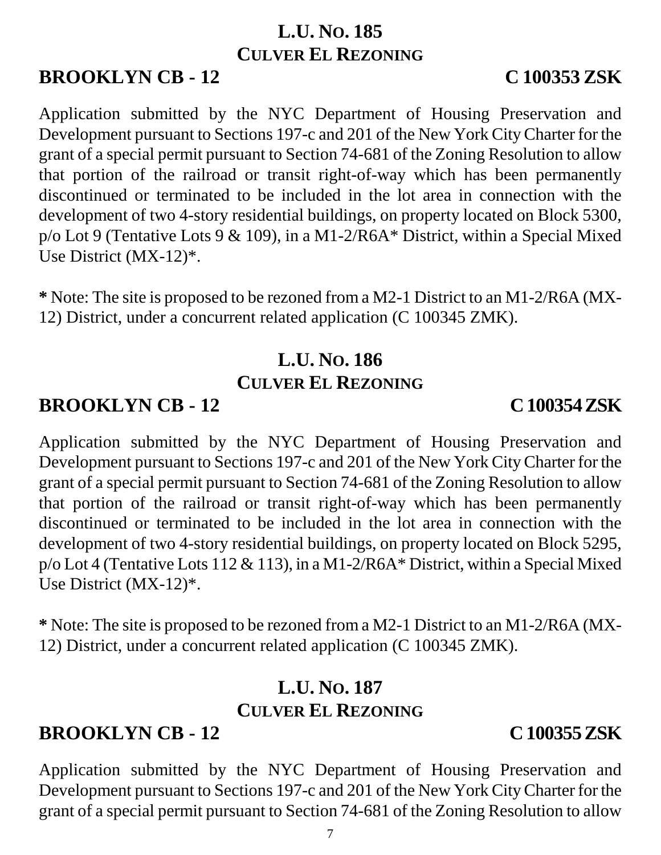### **L.U. NO. 185 CULVER EL REZONING**

# **BROOKLYN CB - 12 C 100353 ZSK**

Application submitted by the NYC Department of Housing Preservation and Development pursuant to Sections 197-c and 201 of the New York City Charter for the grant of a special permit pursuant to Section 74-681 of the Zoning Resolution to allow that portion of the railroad or transit right-of-way which has been permanently discontinued or terminated to be included in the lot area in connection with the development of two 4-story residential buildings, on property located on Block 5300, p/o Lot 9 (Tentative Lots 9 & 109), in a M1-2/R6A\* District, within a Special Mixed Use District (MX-12)\*.

**\*** Note: The site is proposed to be rezoned from a M2-1 District to an M1-2/R6A (MX-12) District, under a concurrent related application (C 100345 ZMK).

# **L.U. NO. 186 CULVER EL REZONING**

# **BROOKLYN CB - 12 C 100354 ZSK**

Application submitted by the NYC Department of Housing Preservation and Development pursuant to Sections 197-c and 201 of the New York City Charter for the grant of a special permit pursuant to Section 74-681 of the Zoning Resolution to allow that portion of the railroad or transit right-of-way which has been permanently discontinued or terminated to be included in the lot area in connection with the development of two 4-story residential buildings, on property located on Block 5295, p/o Lot 4 (Tentative Lots 112 & 113), in a M1-2/R6A\* District, within a Special Mixed Use District (MX-12)\*.

**\*** Note: The site is proposed to be rezoned from a M2-1 District to an M1-2/R6A (MX-12) District, under a concurrent related application (C 100345 ZMK).

## **L.U. NO. 187 CULVER EL REZONING**

# **BROOKLYN CB - 12 C 100355 ZSK**

Application submitted by the NYC Department of Housing Preservation and Development pursuant to Sections 197-c and 201 of the New York City Charter for the

grant of a special permit pursuant to Section 74-681 of the Zoning Resolution to allow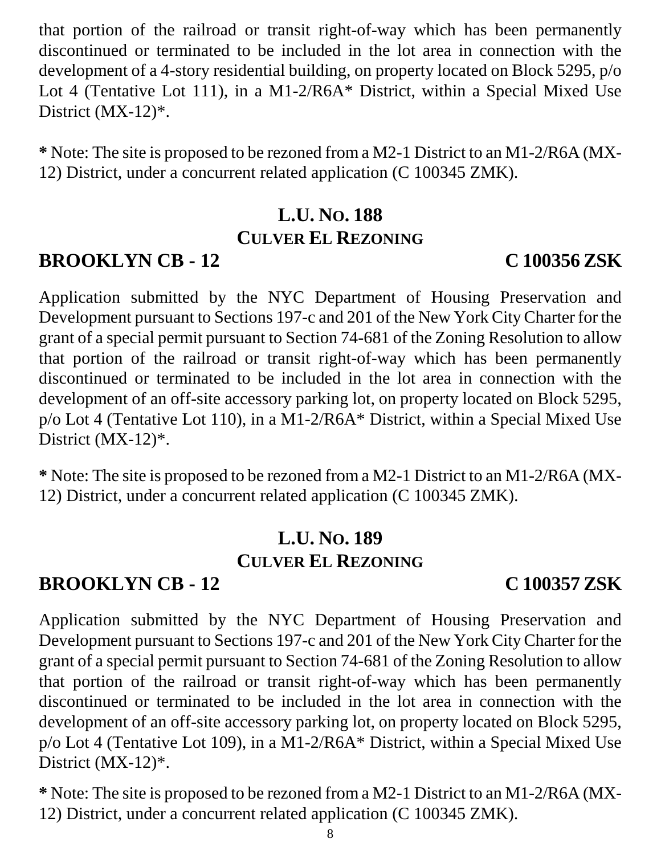that portion of the railroad or transit right-of-way which has been permanently discontinued or terminated to be included in the lot area in connection with the development of a 4-story residential building, on property located on Block 5295, p/o Lot 4 (Tentative Lot 111), in a M1-2/R6A\* District, within a Special Mixed Use District (MX-12)<sup>\*</sup>.

**\*** Note: The site is proposed to be rezoned from a M2-1 District to an M1-2/R6A (MX-12) District, under a concurrent related application (C 100345 ZMK).

# **L.U. NO. 188 CULVER EL REZONING**

## **BROOKLYN CB - 12 C 100356 ZSK**

Application submitted by the NYC Department of Housing Preservation and Development pursuant to Sections 197-c and 201 of the New York City Charter for the grant of a special permit pursuant to Section 74-681 of the Zoning Resolution to allow that portion of the railroad or transit right-of-way which has been permanently discontinued or terminated to be included in the lot area in connection with the development of an off-site accessory parking lot, on property located on Block 5295, p/o Lot 4 (Tentative Lot 110), in a M1-2/R6A\* District, within a Special Mixed Use District (MX-12)<sup>\*</sup>.

**\*** Note: The site is proposed to be rezoned from a M2-1 District to an M1-2/R6A (MX-12) District, under a concurrent related application (C 100345 ZMK).

### **L.U. NO. 189 CULVER EL REZONING**

# **BROOKLYN CB - 12 C 100357 ZSK**

Application submitted by the NYC Department of Housing Preservation and Development pursuant to Sections 197-c and 201 of the New York City Charter for the grant of a special permit pursuant to Section 74-681 of the Zoning Resolution to allow that portion of the railroad or transit right-of-way which has been permanently discontinued or terminated to be included in the lot area in connection with the development of an off-site accessory parking lot, on property located on Block 5295, p/o Lot 4 (Tentative Lot 109), in a M1-2/R6A\* District, within a Special Mixed Use District (MX-12)<sup>\*</sup>.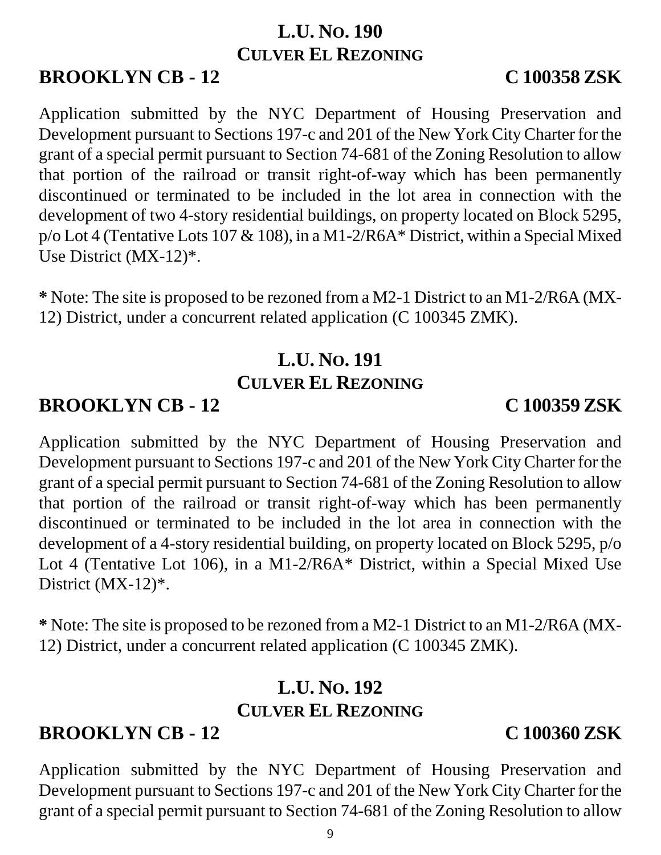### **L.U. NO. 190 CULVER EL REZONING**

# **BROOKLYN CB - 12 C 100358 ZSK**

Application submitted by the NYC Department of Housing Preservation and Development pursuant to Sections 197-c and 201 of the New York City Charter for the grant of a special permit pursuant to Section 74-681 of the Zoning Resolution to allow that portion of the railroad or transit right-of-way which has been permanently discontinued or terminated to be included in the lot area in connection with the development of two 4-story residential buildings, on property located on Block 5295, p/o Lot 4 (Tentative Lots 107 & 108), in a M1-2/R6A\* District, within a Special Mixed Use District (MX-12)\*.

**\*** Note: The site is proposed to be rezoned from a M2-1 District to an M1-2/R6A (MX-12) District, under a concurrent related application (C 100345 ZMK).

# **L.U. NO. 191 CULVER EL REZONING**

# **BROOKLYN CB - 12 C 100359 ZSK**

Application submitted by the NYC Department of Housing Preservation and Development pursuant to Sections 197-c and 201 of the New York City Charter for the grant of a special permit pursuant to Section 74-681 of the Zoning Resolution to allow that portion of the railroad or transit right-of-way which has been permanently discontinued or terminated to be included in the lot area in connection with the development of a 4-story residential building, on property located on Block 5295, p/o Lot 4 (Tentative Lot 106), in a M1-2/R6A\* District, within a Special Mixed Use District (MX-12)\*.

**\*** Note: The site is proposed to be rezoned from a M2-1 District to an M1-2/R6A (MX-12) District, under a concurrent related application (C 100345 ZMK).

## **L.U. NO. 192 CULVER EL REZONING**

# **BROOKLYN CB - 12 C 100360 ZSK**

Application submitted by the NYC Department of Housing Preservation and Development pursuant to Sections 197-c and 201 of the New York City Charter for the grant of a special permit pursuant to Section 74-681 of the Zoning Resolution to allow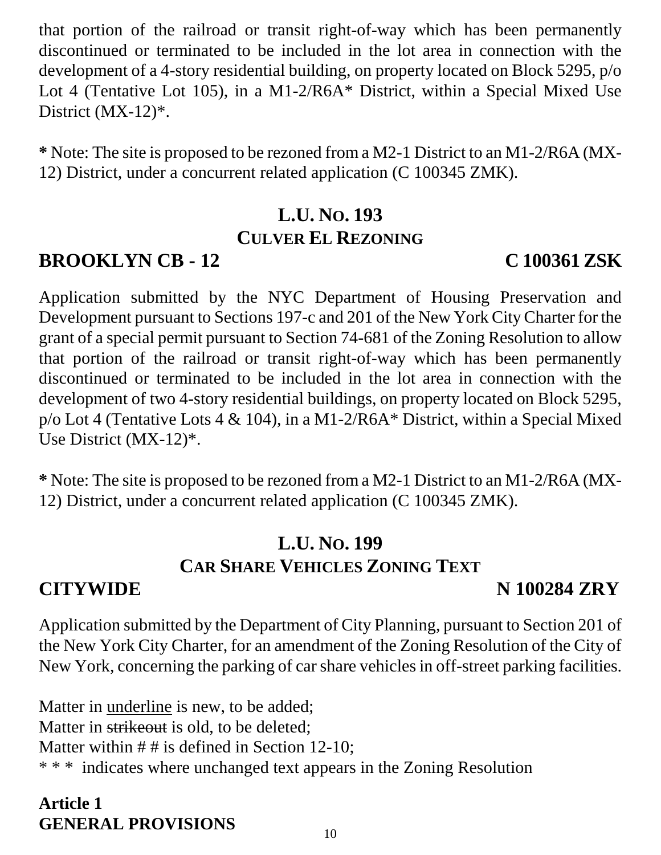that portion of the railroad or transit right-of-way which has been permanently discontinued or terminated to be included in the lot area in connection with the development of a 4-story residential building, on property located on Block 5295, p/o Lot 4 (Tentative Lot 105), in a M1-2/R6A\* District, within a Special Mixed Use District (MX-12)\*.

**\*** Note: The site is proposed to be rezoned from a M2-1 District to an M1-2/R6A (MX-12) District, under a concurrent related application (C 100345 ZMK).

# **L.U. NO. 193 CULVER EL REZONING**

# **BROOKLYN CB - 12 C 100361 ZSK**

Application submitted by the NYC Department of Housing Preservation and Development pursuant to Sections 197-c and 201 of the New York City Charter for the grant of a special permit pursuant to Section 74-681 of the Zoning Resolution to allow that portion of the railroad or transit right-of-way which has been permanently discontinued or terminated to be included in the lot area in connection with the development of two 4-story residential buildings, on property located on Block 5295, p/o Lot 4 (Tentative Lots 4 & 104), in a M1-2/R6A\* District, within a Special Mixed Use District (MX-12)\*.

**\*** Note: The site is proposed to be rezoned from a M2-1 District to an M1-2/R6A (MX-12) District, under a concurrent related application (C 100345 ZMK).

# **L.U. NO. 199 CAR SHARE VEHICLES ZONING TEXT**

# **CITYWIDE N 100284 ZRY**

Application submitted by the Department of City Planning, pursuant to Section 201 of the New York City Charter, for an amendment of the Zoning Resolution of the City of New York, concerning the parking of car share vehicles in off-street parking facilities.

Matter in underline is new, to be added; Matter in strikeout is old, to be deleted: Matter within  $# #$  is defined in Section 12-10; \* \* \* indicates where unchanged text appears in the Zoning Resolution

### **Article 1 GENERAL PROVISIONS**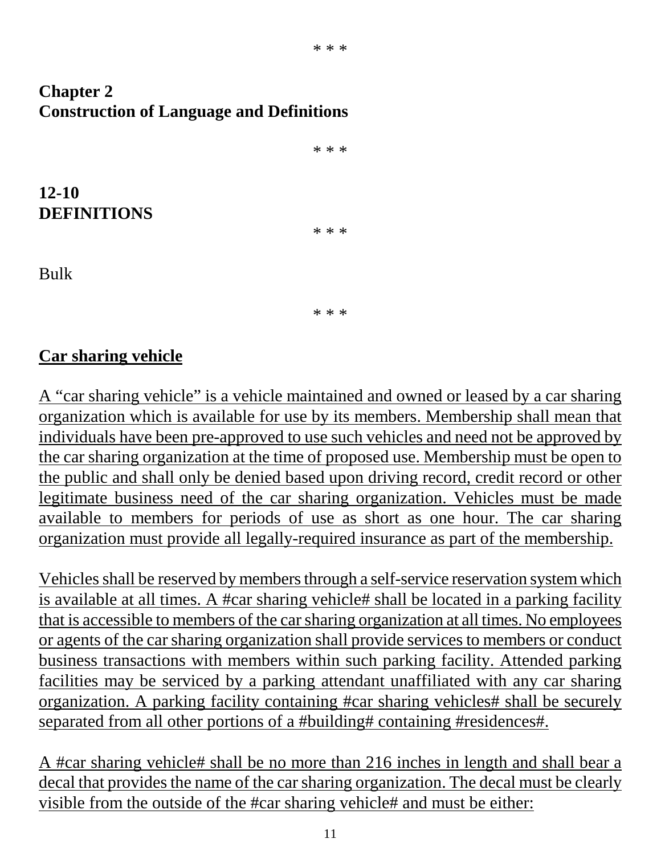### **Chapter 2 Construction of Language and Definitions**

\* \* \* **12-10 DEFINITIONS** \* \* \* Bulk

\* \* \*

#### **Car sharing vehicle**

A "car sharing vehicle" is a vehicle maintained and owned or leased by a car sharing organization which is available for use by its members. Membership shall mean that individuals have been pre-approved to use such vehicles and need not be approved by the car sharing organization at the time of proposed use. Membership must be open to the public and shall only be denied based upon driving record, credit record or other legitimate business need of the car sharing organization. Vehicles must be made available to members for periods of use as short as one hour. The car sharing organization must provide all legally-required insurance as part of the membership.

Vehicles shall be reserved by members through a self-service reservation system which is available at all times. A #car sharing vehicle# shall be located in a parking facility that is accessible to members of the car sharing organization at all times. No employees or agents of the car sharing organization shall provide services to members or conduct business transactions with members within such parking facility. Attended parking facilities may be serviced by a parking attendant unaffiliated with any car sharing organization. A parking facility containing #car sharing vehicles# shall be securely separated from all other portions of a #building# containing #residences#.

A #car sharing vehicle# shall be no more than 216 inches in length and shall bear a decal that provides the name of the car sharing organization. The decal must be clearly visible from the outside of the #car sharing vehicle# and must be either: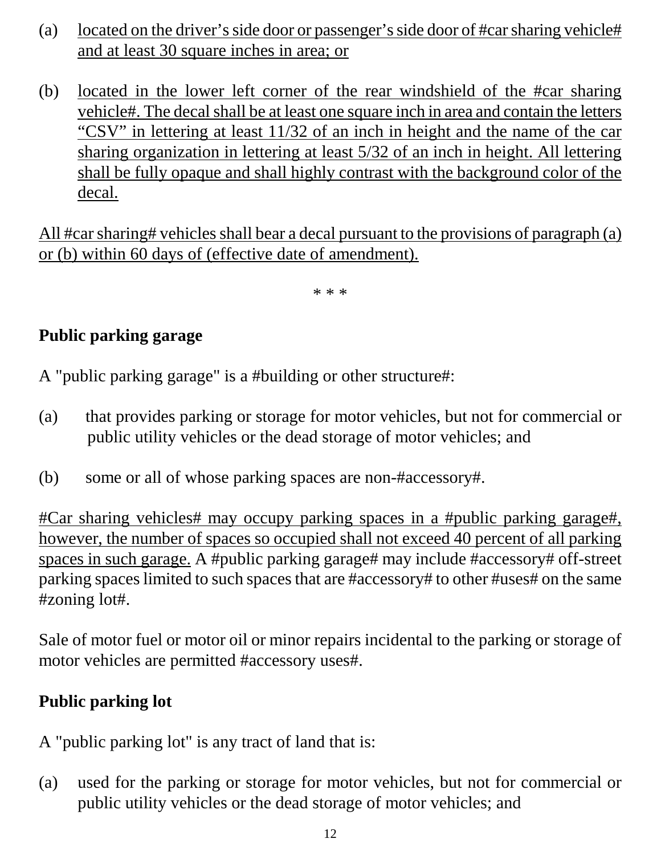- (a) located on the driver's side door or passenger's side door of #car sharing vehicle# and at least 30 square inches in area; or
- (b) located in the lower left corner of the rear windshield of the #car sharing vehicle#. The decal shall be at least one square inch in area and contain the letters "CSV" in lettering at least 11/32 of an inch in height and the name of the car sharing organization in lettering at least 5/32 of an inch in height. All lettering shall be fully opaque and shall highly contrast with the background color of the decal.

All #car sharing# vehicles shall bear a decal pursuant to the provisions of paragraph (a) or (b) within 60 days of (effective date of amendment).

\* \* \*

### **Public parking garage**

A "public parking garage" is a #building or other structure#:

- (a) that provides parking or storage for motor vehicles, but not for commercial or public utility vehicles or the dead storage of motor vehicles; and
- (b) some or all of whose parking spaces are non-#accessory#.

#Car sharing vehicles# may occupy parking spaces in a #public parking garage#, however, the number of spaces so occupied shall not exceed 40 percent of all parking spaces in such garage. A #public parking garage# may include #accessory# off-street parking spaces limited to such spaces that are #accessory# to other #uses# on the same #zoning lot#.

Sale of motor fuel or motor oil or minor repairs incidental to the parking or storage of motor vehicles are permitted #accessory uses#.

#### **Public parking lot**

A "public parking lot" is any tract of land that is:

(a) used for the parking or storage for motor vehicles, but not for commercial or public utility vehicles or the dead storage of motor vehicles; and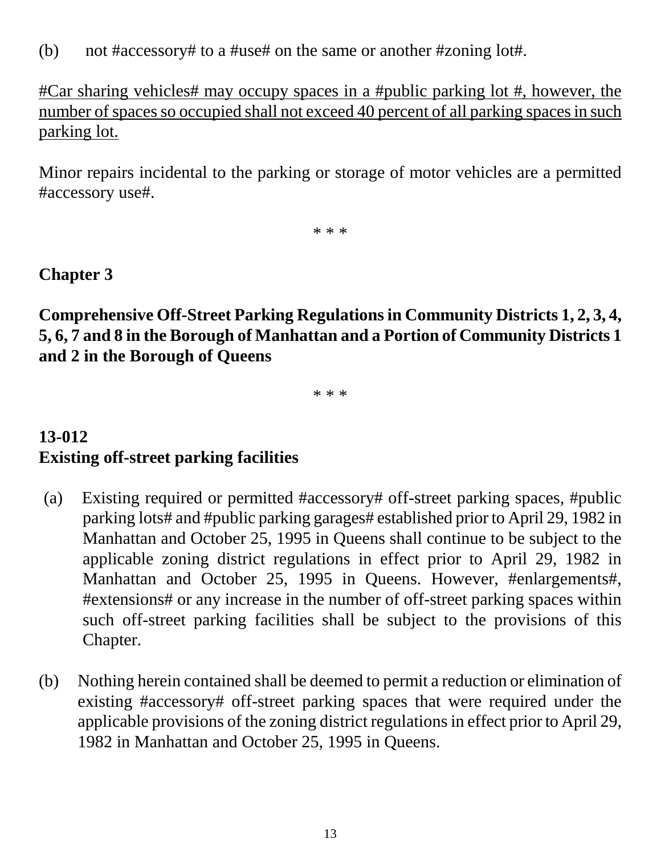(b) not #accessory# to a #use# on the same or another #zoning lot#.

#Car sharing vehicles# may occupy spaces in a #public parking lot #, however, the number of spaces so occupied shall not exceed 40 percent of all parking spaces in such parking lot.

Minor repairs incidental to the parking or storage of motor vehicles are a permitted #accessory use#.

\* \* \*

#### **Chapter 3**

**Comprehensive Off-Street Parking Regulations in Community Districts 1, 2, 3, 4, 5, 6, 7 and 8 in the Borough of Manhattan and a Portion of Community Districts 1 and 2 in the Borough of Queens**

\* \* \*

# **13-012 Existing off-street parking facilities**

- (a) Existing required or permitted #accessory# off-street parking spaces, #public parking lots# and #public parking garages# established prior to April 29, 1982 in Manhattan and October 25, 1995 in Queens shall continue to be subject to the applicable zoning district regulations in effect prior to April 29, 1982 in Manhattan and October 25, 1995 in Queens. However, #enlargements#, #extensions# or any increase in the number of off-street parking spaces within such off-street parking facilities shall be subject to the provisions of this Chapter.
- (b) Nothing herein contained shall be deemed to permit a reduction or elimination of existing #accessory# off-street parking spaces that were required under the applicable provisions of the zoning district regulations in effect prior to April 29, 1982 in Manhattan and October 25, 1995 in Queens.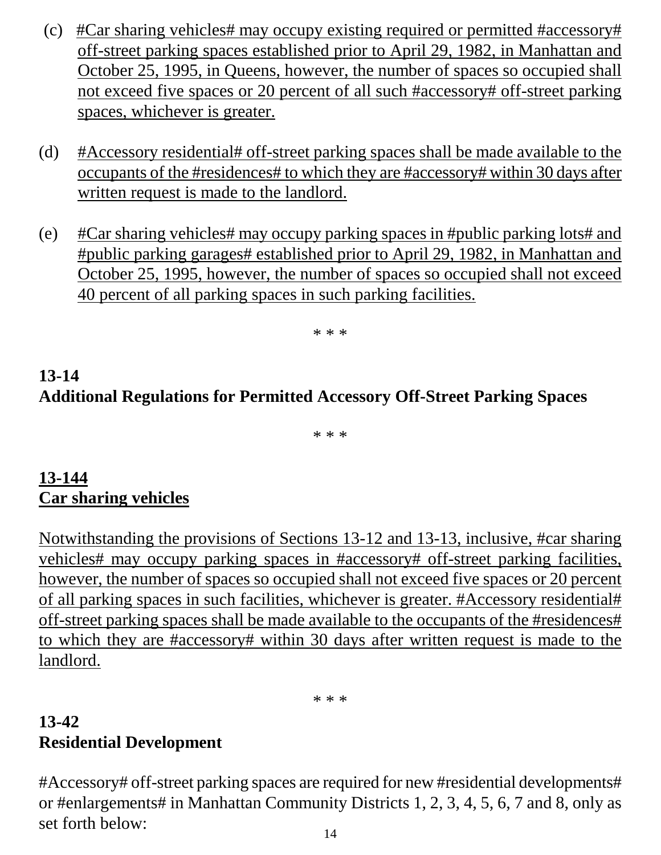- (c) #Car sharing vehicles# may occupy existing required or permitted #accessory# off-street parking spaces established prior to April 29, 1982, in Manhattan and October 25, 1995, in Queens, however, the number of spaces so occupied shall not exceed five spaces or 20 percent of all such #accessory# off-street parking spaces, whichever is greater.
- (d) #Accessory residential# off-street parking spaces shall be made available to the occupants of the #residences# to which they are #accessory# within 30 days after written request is made to the landlord.
- (e) #Car sharing vehicles# may occupy parking spaces in #public parking lots# and #public parking garages# established prior to April 29, 1982, in Manhattan and October 25, 1995, however, the number of spaces so occupied shall not exceed 40 percent of all parking spaces in such parking facilities.

\* \* \*

# **13-14 Additional Regulations for Permitted Accessory Off-Street Parking Spaces**

\* \* \*

#### **13-144 Car sharing vehicles**

Notwithstanding the provisions of Sections 13-12 and 13-13, inclusive, #car sharing vehicles# may occupy parking spaces in #accessory# off-street parking facilities, however, the number of spaces so occupied shall not exceed five spaces or 20 percent of all parking spaces in such facilities, whichever is greater. #Accessory residential# off-street parking spaces shall be made available to the occupants of the #residences# to which they are #accessory# within 30 days after written request is made to the landlord.

\* \* \*

## **13-42 Residential Development**

#Accessory# off-street parking spaces are required for new #residential developments# or #enlargements# in Manhattan Community Districts 1, 2, 3, 4, 5, 6, 7 and 8, only as set forth below: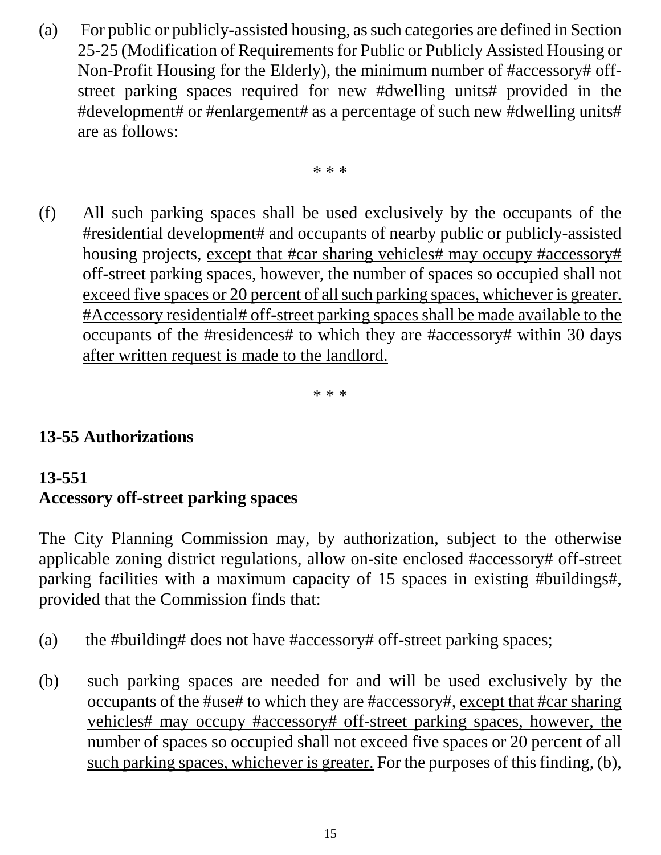(a) For public or publicly-assisted housing, as such categories are defined in Section 25-25 (Modification of Requirements for Public or Publicly Assisted Housing or Non-Profit Housing for the Elderly), the minimum number of #accessory# offstreet parking spaces required for new #dwelling units# provided in the #development# or #enlargement# as a percentage of such new #dwelling units# are as follows:

\* \* \*

(f) All such parking spaces shall be used exclusively by the occupants of the #residential development# and occupants of nearby public or publicly-assisted housing projects, except that #car sharing vehicles# may occupy #accessory# off-street parking spaces, however, the number of spaces so occupied shall not exceed five spaces or 20 percent of all such parking spaces, whichever is greater. #Accessory residential# off-street parking spaces shall be made available to the occupants of the #residences# to which they are #accessory# within 30 days after written request is made to the landlord.

\* \* \*

## **13-55 Authorizations**

## **13-551 Accessory off-street parking spaces**

The City Planning Commission may, by authorization, subject to the otherwise applicable zoning district regulations, allow on-site enclosed #accessory# off-street parking facilities with a maximum capacity of 15 spaces in existing #buildings#, provided that the Commission finds that:

- (a) the #building# does not have #accessory# off-street parking spaces;
- (b) such parking spaces are needed for and will be used exclusively by the occupants of the #use# to which they are #accessory#, except that #car sharing vehicles# may occupy #accessory# off-street parking spaces, however, the number of spaces so occupied shall not exceed five spaces or 20 percent of all such parking spaces, whichever is greater. For the purposes of this finding, (b),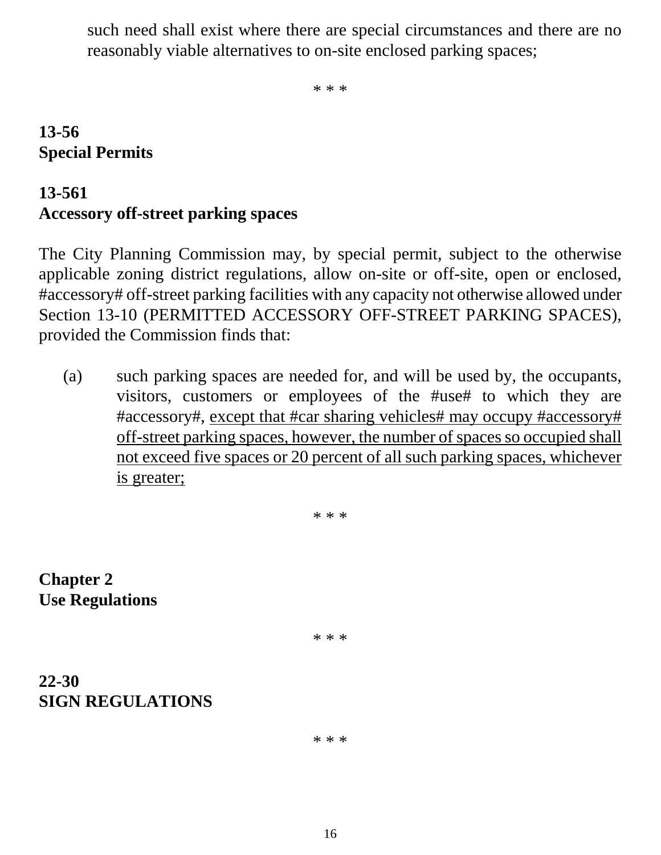such need shall exist where there are special circumstances and there are no reasonably viable alternatives to on-site enclosed parking spaces;

\* \* \*

### **13-56 Special Permits**

#### **13-561**

## **Accessory off-street parking spaces**

The City Planning Commission may, by special permit, subject to the otherwise applicable zoning district regulations, allow on-site or off-site, open or enclosed, #accessory# off-street parking facilities with any capacity not otherwise allowed under Section 13-10 (PERMITTED ACCESSORY OFF-STREET PARKING SPACES), provided the Commission finds that:

(a) such parking spaces are needed for, and will be used by, the occupants, visitors, customers or employees of the #use# to which they are #accessory#, except that #car sharing vehicles# may occupy #accessory# off-street parking spaces, however, the number of spaces so occupied shall not exceed five spaces or 20 percent of all such parking spaces, whichever is greater;

\* \* \*

**Chapter 2 Use Regulations**

\* \* \*

#### **22-30 SIGN REGULATIONS**

\* \* \*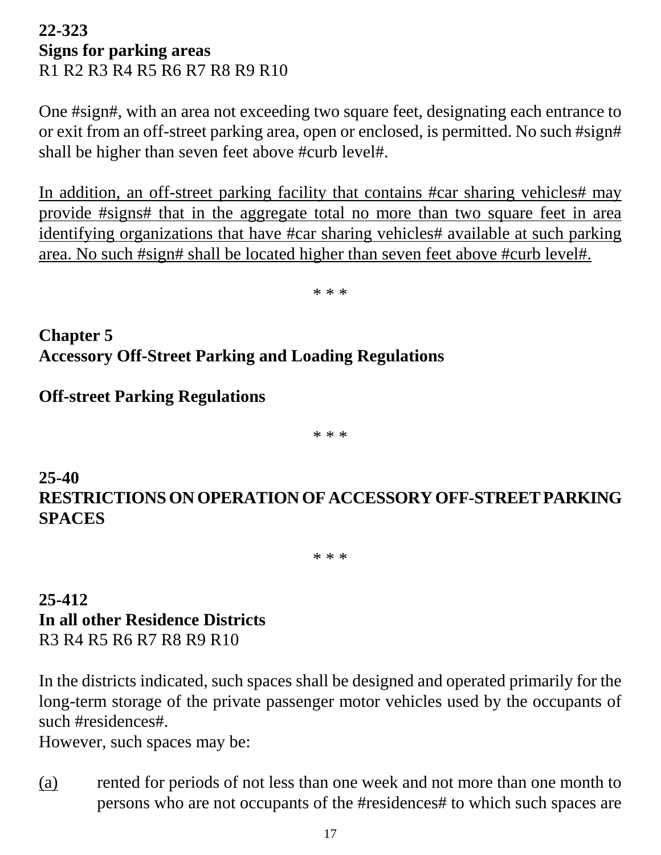#### **22-323 Signs for parking areas** R1 R2 R3 R4 R5 R6 R7 R8 R9 R10

One #sign#, with an area not exceeding two square feet, designating each entrance to or exit from an off-street parking area, open or enclosed, is permitted. No such #sign# shall be higher than seven feet above #curb level#.

In addition, an off-street parking facility that contains #car sharing vehicles# may provide #signs# that in the aggregate total no more than two square feet in area identifying organizations that have #car sharing vehicles# available at such parking area. No such #sign# shall be located higher than seven feet above #curb level#.

\* \* \*

**Chapter 5 Accessory Off-Street Parking and Loading Regulations**

#### **Off-street Parking Regulations**

\* \* \*

### **25-40 RESTRICTIONS ON OPERATION OF ACCESSORY OFF-STREET PARKING SPACES**

\* \* \*

#### **25-412 In all other Residence Districts** R3 R4 R5 R6 R7 R8 R9 R10

In the districts indicated, such spaces shall be designed and operated primarily for the long-term storage of the private passenger motor vehicles used by the occupants of such #residences#.

However, such spaces may be:

(a) rented for periods of not less than one week and not more than one month to persons who are not occupants of the #residences# to which such spaces are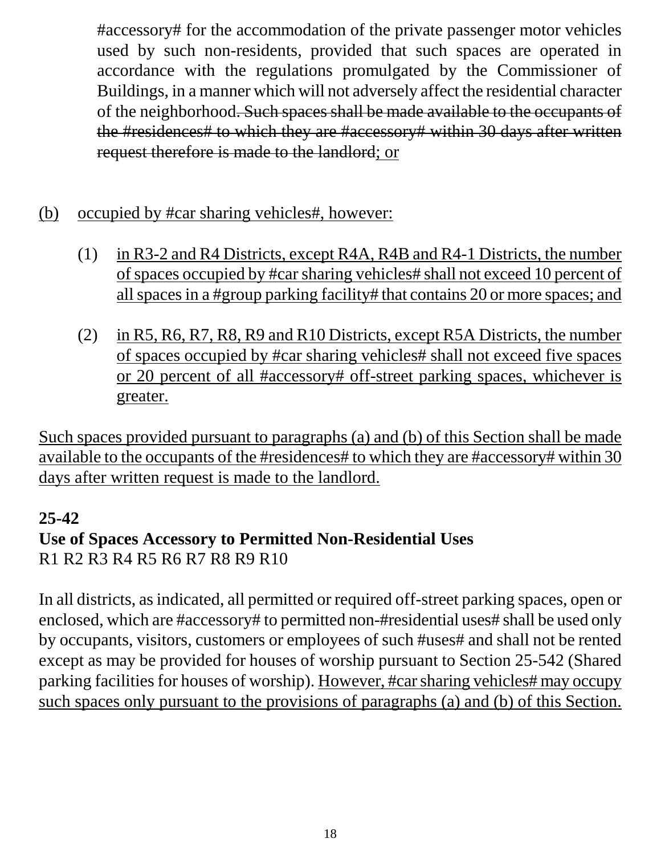#accessory# for the accommodation of the private passenger motor vehicles used by such non-residents, provided that such spaces are operated in accordance with the regulations promulgated by the Commissioner of Buildings, in a manner which will not adversely affect the residential character of the neighborhood. Such spaces shall be made available to the occupants of the #residences# to which they are #accessory# within 30 days after written request therefore is made to the landlord; or

- (b) occupied by #car sharing vehicles#, however:
	- (1) in R3-2 and R4 Districts, except R4A, R4B and R4-1 Districts, the number of spaces occupied by #car sharing vehicles# shall not exceed 10 percent of all spaces in a #group parking facility# that contains 20 or more spaces; and
	- (2) in R5, R6, R7, R8, R9 and R10 Districts, except R5A Districts, the number of spaces occupied by #car sharing vehicles# shall not exceed five spaces or 20 percent of all #accessory# off-street parking spaces, whichever is greater.

Such spaces provided pursuant to paragraphs (a) and (b) of this Section shall be made available to the occupants of the #residences# to which they are #accessory# within 30 days after written request is made to the landlord.

#### **25-42**

### **Use of Spaces Accessory to Permitted Non-Residential Uses** R1 R2 R3 R4 R5 R6 R7 R8 R9 R10

In all districts, as indicated, all permitted or required off-street parking spaces, open or enclosed, which are #accessory# to permitted non-#residential uses# shall be used only by occupants, visitors, customers or employees of such #uses# and shall not be rented except as may be provided for houses of worship pursuant to Section 25-542 (Shared parking facilities for houses of worship). However, #car sharing vehicles# may occupy such spaces only pursuant to the provisions of paragraphs (a) and (b) of this Section.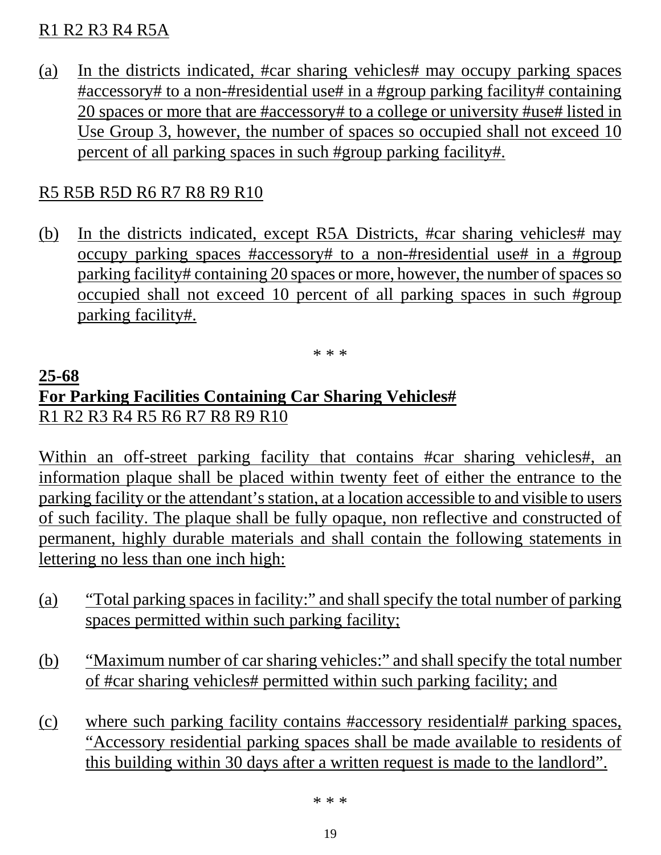#### R1 R2 R3 R4 R5A

(a) In the districts indicated, #car sharing vehicles# may occupy parking spaces #accessory# to a non-#residential use# in a #group parking facility# containing 20 spaces or more that are #accessory# to a college or university #use# listed in Use Group 3, however, the number of spaces so occupied shall not exceed 10 percent of all parking spaces in such #group parking facility#.

#### R5 R5B R5D R6 R7 R8 R9 R10

(b) In the districts indicated, except R5A Districts, #car sharing vehicles# may occupy parking spaces #accessory# to a non-#residential use# in a #group parking facility# containing 20 spaces or more, however, the number of spaces so occupied shall not exceed 10 percent of all parking spaces in such #group parking facility#.

\* \* \*

#### **25-68 For Parking Facilities Containing Car Sharing Vehicles#** R1 R2 R3 R4 R5 R6 R7 R8 R9 R10

Within an off-street parking facility that contains #car sharing vehicles#, an information plaque shall be placed within twenty feet of either the entrance to the parking facility or the attendant's station, at a location accessible to and visible to users of such facility. The plaque shall be fully opaque, non reflective and constructed of permanent, highly durable materials and shall contain the following statements in lettering no less than one inch high:

- (a) "Total parking spaces in facility:" and shall specify the total number of parking spaces permitted within such parking facility;
- (b) "Maximum number of car sharing vehicles:" and shall specify the total number of #car sharing vehicles# permitted within such parking facility; and
- (c) where such parking facility contains #accessory residential# parking spaces, "Accessory residential parking spaces shall be made available to residents of this building within 30 days after a written request is made to the landlord".

\* \* \*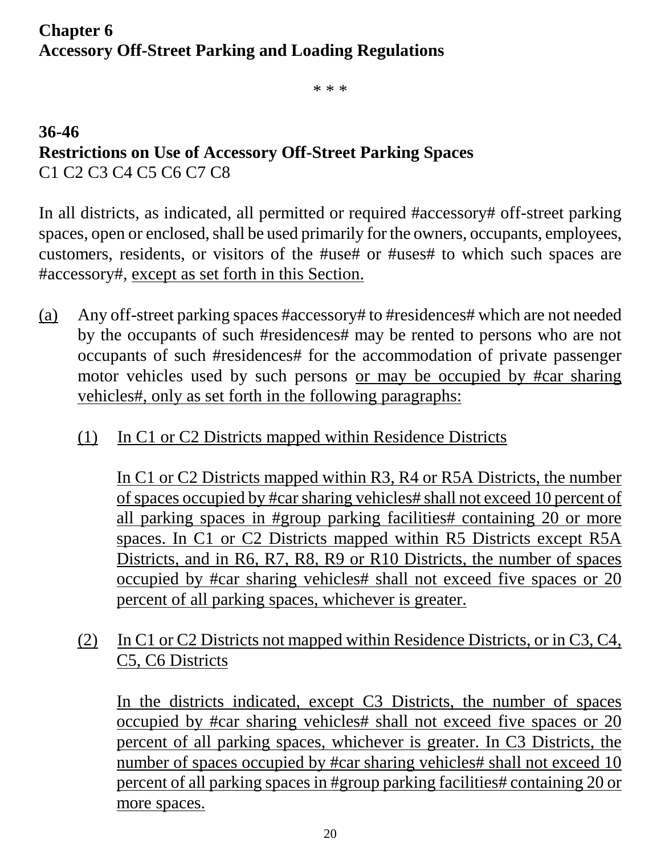### **Chapter 6 Accessory Off-Street Parking and Loading Regulations**

\* \* \*

### **36-46 Restrictions on Use of Accessory Off-Street Parking Spaces** C1 C2 C3 C4 C5 C6 C7 C8

In all districts, as indicated, all permitted or required #accessory# off-street parking spaces, open or enclosed, shall be used primarily for the owners, occupants, employees, customers, residents, or visitors of the #use# or #uses# to which such spaces are #accessory#, except as set forth in this Section.

- (a) Any off-street parking spaces #accessory# to #residences# which are not needed by the occupants of such #residences# may be rented to persons who are not occupants of such #residences# for the accommodation of private passenger motor vehicles used by such persons or may be occupied by #car sharing vehicles#, only as set forth in the following paragraphs:
	- (1) In C1 or C2 Districts mapped within Residence Districts

In C1 or C2 Districts mapped within R3, R4 or R5A Districts, the number of spaces occupied by #car sharing vehicles# shall not exceed 10 percent of all parking spaces in #group parking facilities# containing 20 or more spaces. In C1 or C2 Districts mapped within R5 Districts except R5A Districts, and in R6, R7, R8, R9 or R10 Districts, the number of spaces occupied by #car sharing vehicles# shall not exceed five spaces or 20 percent of all parking spaces, whichever is greater.

(2) In C1 or C2 Districts not mapped within Residence Districts, or in C3, C4, C5, C6 Districts

In the districts indicated, except C3 Districts, the number of spaces occupied by #car sharing vehicles# shall not exceed five spaces or 20 percent of all parking spaces, whichever is greater. In C3 Districts, the number of spaces occupied by #car sharing vehicles# shall not exceed 10 percent of all parking spaces in #group parking facilities# containing 20 or more spaces.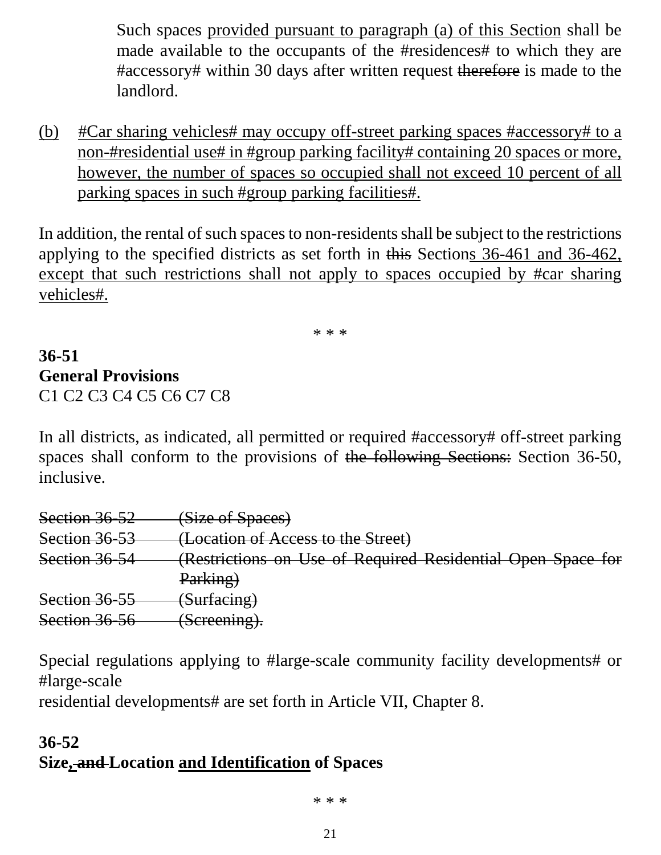Such spaces provided pursuant to paragraph (a) of this Section shall be made available to the occupants of the #residences# to which they are #accessory# within 30 days after written request therefore is made to the landlord.

(b) #Car sharing vehicles# may occupy off-street parking spaces #accessory# to a non-#residential use# in #group parking facility# containing 20 spaces or more, however, the number of spaces so occupied shall not exceed 10 percent of all parking spaces in such #group parking facilities#.

In addition, the rental of such spaces to non-residents shall be subject to the restrictions applying to the specified districts as set forth in this Sections 36-461 and 36-462, except that such restrictions shall not apply to spaces occupied by #car sharing vehicles#.

\* \* \*

### **36-51 General Provisions** C1 C2 C3 C4 C5 C6 C7 C8

In all districts, as indicated, all permitted or required #accessory# off-street parking spaces shall conform to the provisions of the following Sections: Section 36-50, inclusive.

| Section 36 52 | (Size of Spaces)                                            |
|---------------|-------------------------------------------------------------|
| Section 36 53 | (Location of Access to the Street)                          |
| Section 36 54 | (Restrictions on Use of Required Residential Open Space for |
|               | Parking)                                                    |
| Section 36-55 | (Surfacing)                                                 |
| Section 36 56 | (Screening).                                                |

Special regulations applying to #large-scale community facility developments# or #large-scale

residential developments# are set forth in Article VII, Chapter 8.

#### **36-52 Size, and Location and Identification of Spaces**

\* \* \*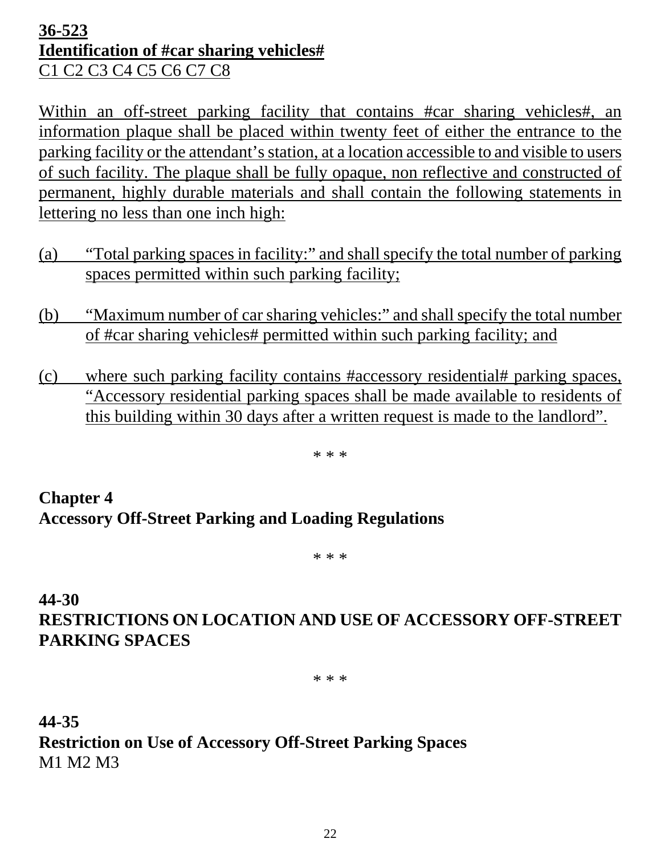#### **36-523 Identification of #car sharing vehicles#** C1 C2 C3 C4 C5 C6 C7 C8

Within an off-street parking facility that contains #car sharing vehicles#, an information plaque shall be placed within twenty feet of either the entrance to the parking facility or the attendant's station, at a location accessible to and visible to users of such facility. The plaque shall be fully opaque, non reflective and constructed of permanent, highly durable materials and shall contain the following statements in lettering no less than one inch high:

- (a) "Total parking spaces in facility:" and shall specify the total number of parking spaces permitted within such parking facility;
- (b) "Maximum number of car sharing vehicles:" and shall specify the total number of #car sharing vehicles# permitted within such parking facility; and
- (c) where such parking facility contains #accessory residential# parking spaces, "Accessory residential parking spaces shall be made available to residents of this building within 30 days after a written request is made to the landlord".

\* \* \*

# **Chapter 4 Accessory Off-Street Parking and Loading Regulations**

\* \* \*

## **44-30 RESTRICTIONS ON LOCATION AND USE OF ACCESSORY OFF-STREET PARKING SPACES**

\* \* \*

**44-35 Restriction on Use of Accessory Off-Street Parking Spaces** M1 M2 M3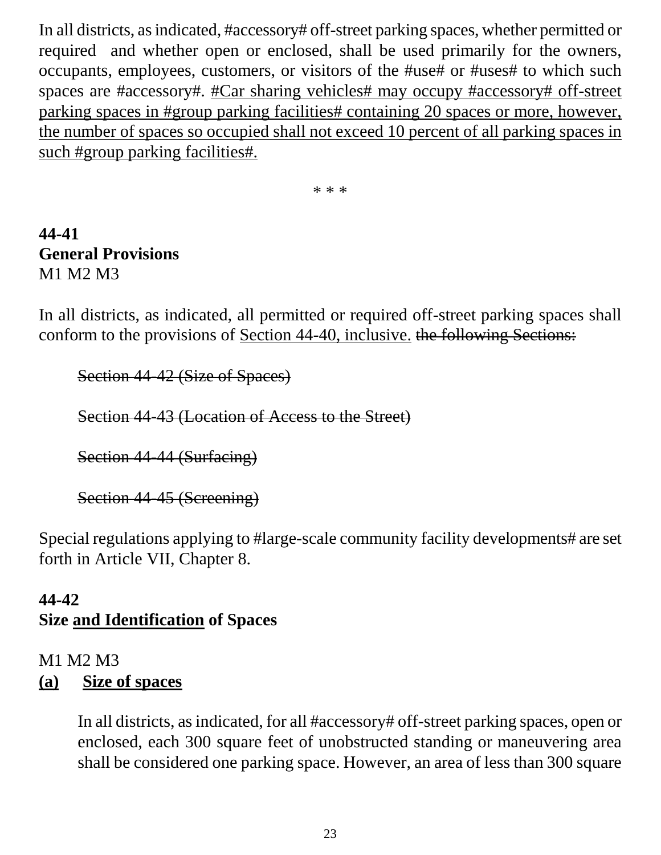In all districts, as indicated, #accessory# off-street parking spaces, whether permitted or required and whether open or enclosed, shall be used primarily for the owners, occupants, employees, customers, or visitors of the #use# or #uses# to which such spaces are #accessory#. #Car sharing vehicles# may occupy #accessory# off-street parking spaces in #group parking facilities# containing 20 spaces or more, however, the number of spaces so occupied shall not exceed 10 percent of all parking spaces in such #group parking facilities#.

\* \* \*

### **44-41 General Provisions** M1 M2 M3

In all districts, as indicated, all permitted or required off-street parking spaces shall conform to the provisions of Section 44-40, inclusive. the following Sections:

Section 44-42 (Size of Spaces)

Section 44-43 (Location of Access to the Street)

Section 44-44 (Surfacing)

Section 44-45 (Screening)

Special regulations applying to #large-scale community facility developments# are set forth in Article VII, Chapter 8.

#### **44-42 Size and Identification of Spaces**

# M1 M2 M3

#### **(a) Size of spaces**

In all districts, as indicated, for all #accessory# off-street parking spaces, open or enclosed, each 300 square feet of unobstructed standing or maneuvering area shall be considered one parking space. However, an area of less than 300 square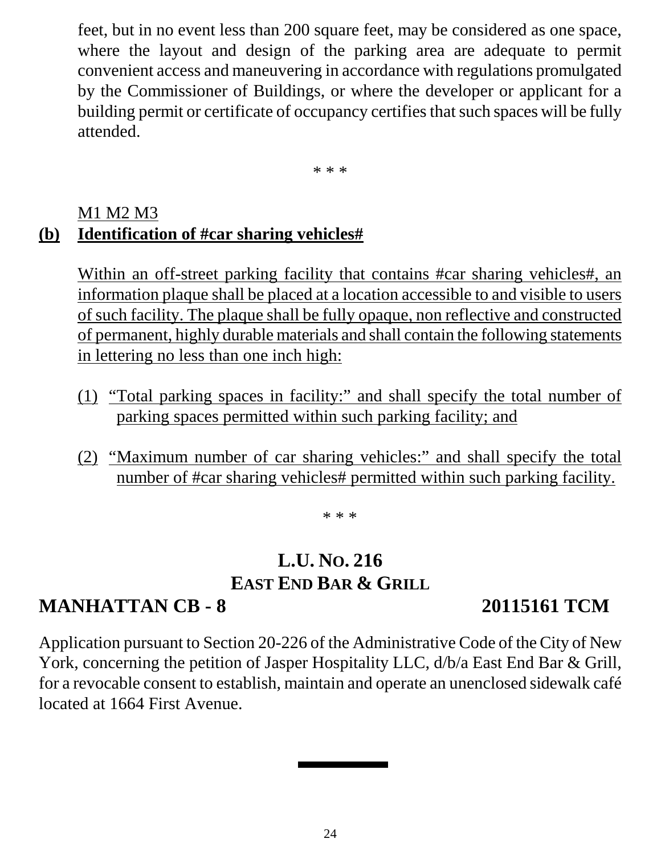feet, but in no event less than 200 square feet, may be considered as one space, where the layout and design of the parking area are adequate to permit convenient access and maneuvering in accordance with regulations promulgated by the Commissioner of Buildings, or where the developer or applicant for a building permit or certificate of occupancy certifies that such spaces will be fully attended.

\* \* \*

#### M1 M2 M3 **(b) Identification of #car sharing vehicles#**

Within an off-street parking facility that contains #car sharing vehicles#, an information plaque shall be placed at a location accessible to and visible to users of such facility. The plaque shall be fully opaque, non reflective and constructed of permanent, highly durable materials and shall contain the following statements in lettering no less than one inch high:

- (1) "Total parking spaces in facility:" and shall specify the total number of parking spaces permitted within such parking facility; and
- (2) "Maximum number of car sharing vehicles:" and shall specify the total number of #car sharing vehicles# permitted within such parking facility.

\* \* \*

# **L.U. NO. 216 EAST END BAR & GRILL**

# **MANHATTAN CB - 8 20115161 TCM**

Application pursuant to Section 20-226 of the Administrative Code of the City of New York, concerning the petition of Jasper Hospitality LLC, d/b/a East End Bar & Grill, for a revocable consent to establish, maintain and operate an unenclosed sidewalk café located at 1664 First Avenue.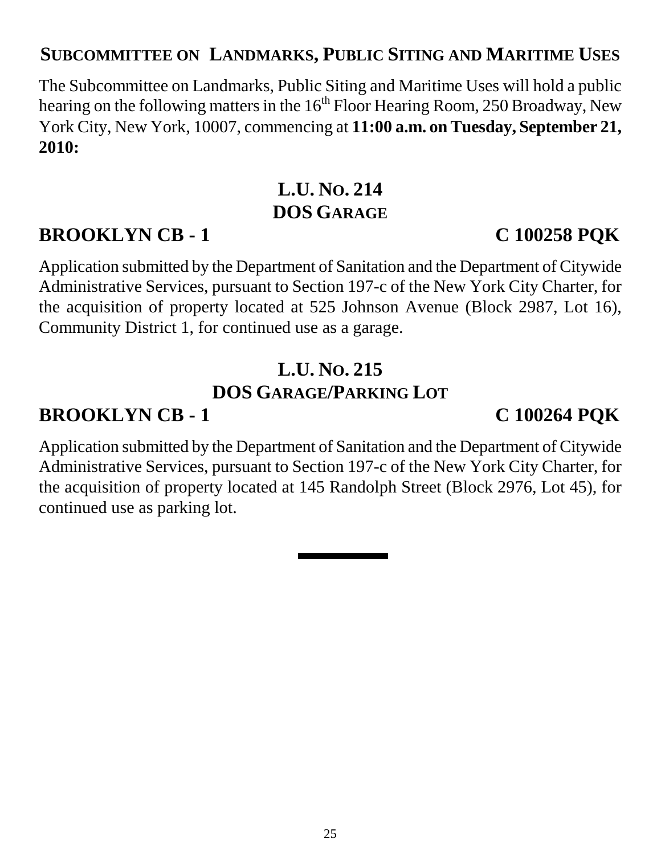### **SUBCOMMITTEE ON LANDMARKS, PUBLIC SITING AND MARITIME USES**

The Subcommittee on Landmarks, Public Siting and Maritime Uses will hold a public hearing on the following matters in the  $16<sup>th</sup>$  Floor Hearing Room, 250 Broadway, New York City, New York, 10007, commencing at **11:00 a.m. on Tuesday, September 21, 2010:**

## **L.U. NO. 214 DOS GARAGE**

# **BROOKLYN CB - 1 C 100258 PQK**

Application submitted by the Department of Sanitation and the Department of Citywide Administrative Services, pursuant to Section 197-c of the New York City Charter, for the acquisition of property located at 525 Johnson Avenue (Block 2987, Lot 16), Community District 1, for continued use as a garage.

# **L.U. NO. 215 DOS GARAGE/PARKING LOT**

# **BROOKLYN CB - 1 C 100264 PQK**

Application submitted by the Department of Sanitation and the Department of Citywide Administrative Services, pursuant to Section 197-c of the New York City Charter, for the acquisition of property located at 145 Randolph Street (Block 2976, Lot 45), for continued use as parking lot.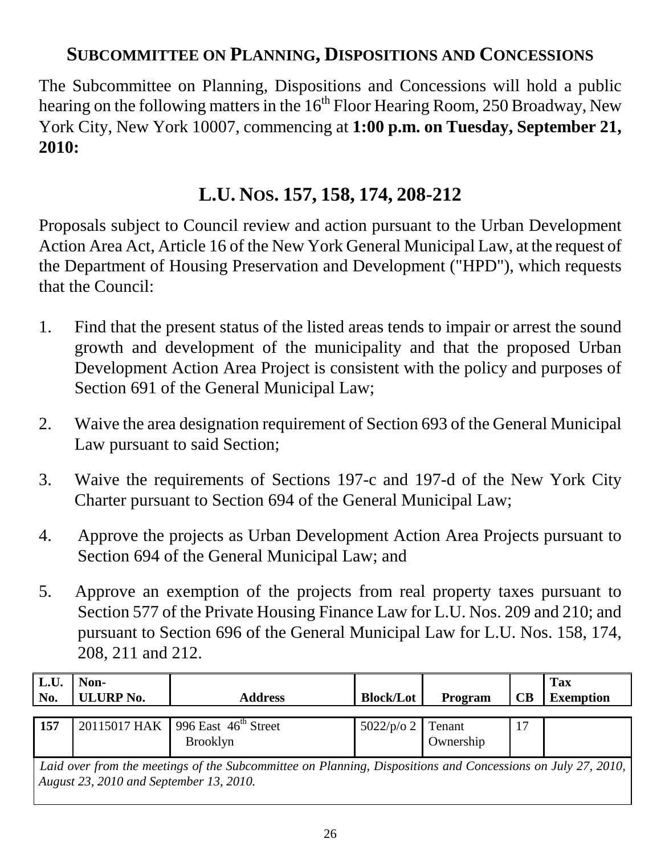## **SUBCOMMITTEE ON PLANNING, DISPOSITIONS AND CONCESSIONS**

The Subcommittee on Planning, Dispositions and Concessions will hold a public hearing on the following matters in the  $16<sup>th</sup>$  Floor Hearing Room, 250 Broadway, New York City, New York 10007, commencing at **1:00 p.m. on Tuesday, September 21, 2010:**

# **L.U. NOS. 157, 158, 174, 208-212**

Proposals subject to Council review and action pursuant to the Urban Development Action Area Act, Article 16 of the New York General Municipal Law, at the request of the Department of Housing Preservation and Development ("HPD"), which requests that the Council:

- 1. Find that the present status of the listed areas tends to impair or arrest the sound growth and development of the municipality and that the proposed Urban Development Action Area Project is consistent with the policy and purposes of Section 691 of the General Municipal Law;
- 2. Waive the area designation requirement of Section 693 of the General Municipal Law pursuant to said Section;
- 3. Waive the requirements of Sections 197-c and 197-d of the New York City Charter pursuant to Section 694 of the General Municipal Law;
- 4. Approve the projects as Urban Development Action Area Projects pursuant to Section 694 of the General Municipal Law; and
- 5. Approve an exemption of the projects from real property taxes pursuant to Section 577 of the Private Housing Finance Law for L.U. Nos. 209 and 210; and pursuant to Section 696 of the General Municipal Law for L.U. Nos. 158, 174, 208, 211 and 212.

| L.U.<br>No.                                                                                                 | Non-<br><b>ULURP No.</b> | <b>Address</b>                                  | <b>Block/Lot</b>                  | Program | $\mathbf C\mathbf B$ | <b>Tax</b><br><b>Exemption</b> |  |  |  |
|-------------------------------------------------------------------------------------------------------------|--------------------------|-------------------------------------------------|-----------------------------------|---------|----------------------|--------------------------------|--|--|--|
|                                                                                                             |                          |                                                 |                                   |         |                      |                                |  |  |  |
| 157                                                                                                         |                          | 20115017 HAK   996 East $46^{\text{th}}$ Street |                                   |         |                      |                                |  |  |  |
|                                                                                                             |                          | <b>Brooklyn</b>                                 | $5022/p$ /o 2 Tenant<br>Ownership |         |                      |                                |  |  |  |
| Laid over from the meetings of the Subcommittee on Planning, Dispositions and Concessions on July 27, 2010, |                          |                                                 |                                   |         |                      |                                |  |  |  |
|                                                                                                             |                          |                                                 |                                   |         |                      |                                |  |  |  |
| August 23, 2010 and September 13, 2010.                                                                     |                          |                                                 |                                   |         |                      |                                |  |  |  |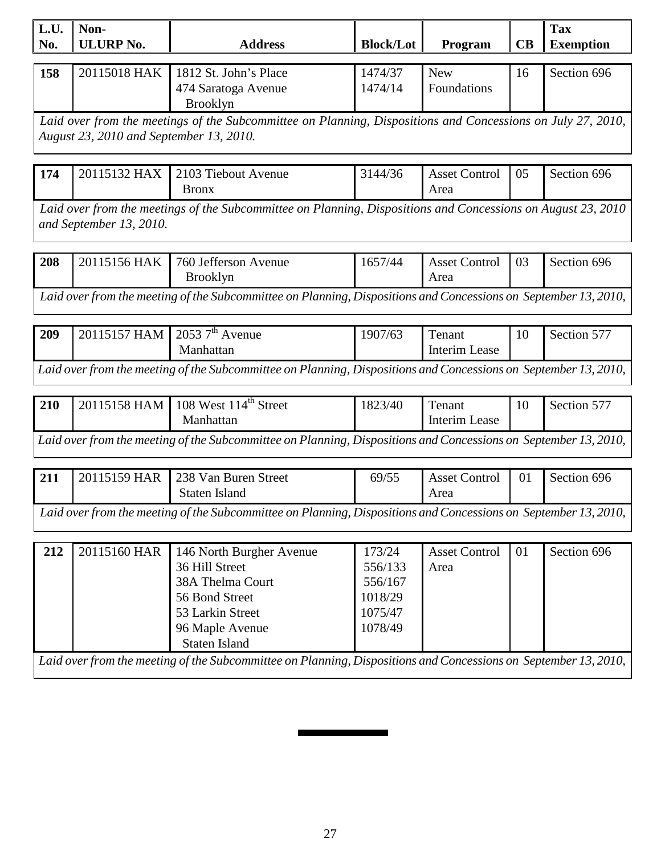| L.U.                                                                                                            | Non-                                                                                                            |                                                                                                                 |                  |                      |    | <b>Tax</b>       |  |  |  |  |
|-----------------------------------------------------------------------------------------------------------------|-----------------------------------------------------------------------------------------------------------------|-----------------------------------------------------------------------------------------------------------------|------------------|----------------------|----|------------------|--|--|--|--|
| No.                                                                                                             | <b>ULURP No.</b>                                                                                                | <b>Address</b>                                                                                                  | <b>Block/Lot</b> | Program              | CB | <b>Exemption</b> |  |  |  |  |
|                                                                                                                 |                                                                                                                 |                                                                                                                 |                  |                      |    |                  |  |  |  |  |
| 158                                                                                                             | 20115018 HAK                                                                                                    | 1812 St. John's Place                                                                                           | 1474/37          | <b>New</b>           | 16 | Section 696      |  |  |  |  |
|                                                                                                                 |                                                                                                                 | 474 Saratoga Avenue                                                                                             | 1474/14          | Foundations          |    |                  |  |  |  |  |
|                                                                                                                 |                                                                                                                 | <b>Brooklyn</b>                                                                                                 |                  |                      |    |                  |  |  |  |  |
|                                                                                                                 |                                                                                                                 | Laid over from the meetings of the Subcommittee on Planning, Dispositions and Concessions on July 27, 2010,     |                  |                      |    |                  |  |  |  |  |
|                                                                                                                 | August 23, 2010 and September 13, 2010.                                                                         |                                                                                                                 |                  |                      |    |                  |  |  |  |  |
|                                                                                                                 |                                                                                                                 |                                                                                                                 |                  |                      |    |                  |  |  |  |  |
| 174                                                                                                             | 20115132 HAX                                                                                                    | 2103 Tiebout Avenue                                                                                             | 3144/36          | <b>Asset Control</b> | 05 | Section 696      |  |  |  |  |
|                                                                                                                 |                                                                                                                 | <b>Bronx</b>                                                                                                    |                  | Area                 |    |                  |  |  |  |  |
|                                                                                                                 | Laid over from the meetings of the Subcommittee on Planning, Dispositions and Concessions on August 23, 2010    |                                                                                                                 |                  |                      |    |                  |  |  |  |  |
|                                                                                                                 | and September 13, 2010.                                                                                         |                                                                                                                 |                  |                      |    |                  |  |  |  |  |
|                                                                                                                 |                                                                                                                 |                                                                                                                 |                  |                      |    |                  |  |  |  |  |
| 208                                                                                                             | 20115156 HAK                                                                                                    | 760 Jefferson Avenue                                                                                            | 1657/44          | <b>Asset Control</b> | 03 | Section 696      |  |  |  |  |
|                                                                                                                 |                                                                                                                 | <b>Brooklyn</b>                                                                                                 |                  | Area                 |    |                  |  |  |  |  |
|                                                                                                                 |                                                                                                                 | Laid over from the meeting of the Subcommittee on Planning, Dispositions and Concessions on September 13, 2010, |                  |                      |    |                  |  |  |  |  |
|                                                                                                                 |                                                                                                                 |                                                                                                                 |                  |                      |    |                  |  |  |  |  |
| 209                                                                                                             | 20115157 HAM                                                                                                    | 2053 $7th$ Avenue                                                                                               | 1907/63          | Tenant               | 10 | Section 577      |  |  |  |  |
|                                                                                                                 |                                                                                                                 | Manhattan                                                                                                       |                  | Interim Lease        |    |                  |  |  |  |  |
|                                                                                                                 |                                                                                                                 |                                                                                                                 |                  |                      |    |                  |  |  |  |  |
|                                                                                                                 |                                                                                                                 | Laid over from the meeting of the Subcommittee on Planning, Dispositions and Concessions on September 13, 2010, |                  |                      |    |                  |  |  |  |  |
|                                                                                                                 |                                                                                                                 | 108 West 114 <sup>th</sup> Street                                                                               |                  |                      |    |                  |  |  |  |  |
| 210                                                                                                             | 20115158 HAM                                                                                                    | Manhattan                                                                                                       | 1823/40          | Tenant               | 10 | Section 577      |  |  |  |  |
|                                                                                                                 |                                                                                                                 |                                                                                                                 |                  | Interim Lease        |    |                  |  |  |  |  |
| Laid over from the meeting of the Subcommittee on Planning, Dispositions and Concessions on September 13, 2010, |                                                                                                                 |                                                                                                                 |                  |                      |    |                  |  |  |  |  |
|                                                                                                                 |                                                                                                                 |                                                                                                                 |                  |                      |    |                  |  |  |  |  |
| 211                                                                                                             | 20115159 HAR                                                                                                    | 238 Van Buren Street                                                                                            | 69/55            | <b>Asset Control</b> | 01 | Section 696      |  |  |  |  |
|                                                                                                                 |                                                                                                                 | <b>Staten Island</b>                                                                                            |                  | Area                 |    |                  |  |  |  |  |
|                                                                                                                 |                                                                                                                 | Laid over from the meeting of the Subcommittee on Planning, Dispositions and Concessions on September 13, 2010, |                  |                      |    |                  |  |  |  |  |
|                                                                                                                 |                                                                                                                 |                                                                                                                 |                  |                      |    |                  |  |  |  |  |
| 212                                                                                                             | 20115160 HAR                                                                                                    | 146 North Burgher Avenue                                                                                        | 173/24           | <b>Asset Control</b> | 01 | Section 696      |  |  |  |  |
|                                                                                                                 |                                                                                                                 | 36 Hill Street                                                                                                  | 556/133          | Area                 |    |                  |  |  |  |  |
|                                                                                                                 |                                                                                                                 | 38A Thelma Court                                                                                                | 556/167          |                      |    |                  |  |  |  |  |
|                                                                                                                 |                                                                                                                 | 56 Bond Street                                                                                                  | 1018/29          |                      |    |                  |  |  |  |  |
|                                                                                                                 |                                                                                                                 | 53 Larkin Street                                                                                                | 1075/47          |                      |    |                  |  |  |  |  |
|                                                                                                                 |                                                                                                                 | 96 Maple Avenue                                                                                                 | 1078/49          |                      |    |                  |  |  |  |  |
|                                                                                                                 |                                                                                                                 | <b>Staten Island</b>                                                                                            |                  |                      |    |                  |  |  |  |  |
|                                                                                                                 | Laid over from the meeting of the Subcommittee on Planning, Dispositions and Concessions on September 13, 2010, |                                                                                                                 |                  |                      |    |                  |  |  |  |  |
|                                                                                                                 |                                                                                                                 |                                                                                                                 |                  |                      |    |                  |  |  |  |  |